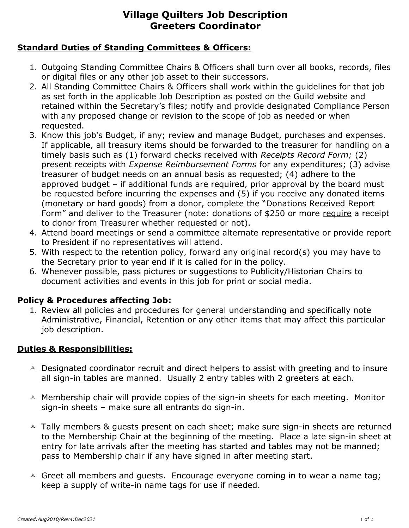# **Village Quilters Job Description Greeters Coordinator**

### **Standard Duties of Standing Committees & Officers:**

- 1. Outgoing Standing Committee Chairs & Officers shall turn over all books, records, files or digital files or any other job asset to their successors.
- 2. All Standing Committee Chairs & Officers shall work within the guidelines for that job as set forth in the applicable Job Description as posted on the Guild website and retained within the Secretary's files; notify and provide designated Compliance Person with any proposed change or revision to the scope of job as needed or when requested.
- 3. Know this job's Budget, if any; review and manage Budget, purchases and expenses. If applicable, all treasury items should be forwarded to the treasurer for handling on a timely basis such as (1) forward checks received with *Receipts Record Form;* (2) present receipts with *Expense Reimbursement Forms* for any expenditures; (3) advise treasurer of budget needs on an annual basis as requested; (4) adhere to the approved budget – if additional funds are required, prior approval by the board must be requested before incurring the expenses and (5) if you receive any donated items (monetary or hard goods) from a donor, complete the "Donations Received Report Form" and deliver to the Treasurer (note: donations of \$250 or more require a receipt to donor from Treasurer whether requested or not).
- 4. Attend board meetings or send a committee alternate representative or provide report to President if no representatives will attend.
- 5. With respect to the retention policy, forward any original record(s) you may have to the Secretary prior to year end if it is called for in the policy.
- 6. Whenever possible, pass pictures or suggestions to Publicity/Historian Chairs to document activities and events in this job for print or social media.

#### **Policy & Procedures affecting Job:**

1. Review all policies and procedures for general understanding and specifically note Administrative, Financial, Retention or any other items that may affect this particular job description.

### **Duties & Responsibilities:**

- $\triangle$  Designated coordinator recruit and direct helpers to assist with greeting and to insure all sign-in tables are manned. Usually 2 entry tables with 2 greeters at each.
- $\triangle$  Membership chair will provide copies of the sign-in sheets for each meeting. Monitor sign-in sheets – make sure all entrants do sign-in.
- <sup> $\triangle$ </sup> Tally members & quests present on each sheet; make sure sign-in sheets are returned to the Membership Chair at the beginning of the meeting. Place a late sign-in sheet at entry for late arrivals after the meeting has started and tables may not be manned; pass to Membership chair if any have signed in after meeting start.
- $\triangle$  Greet all members and guests. Encourage everyone coming in to wear a name tag; keep a supply of write-in name tags for use if needed.